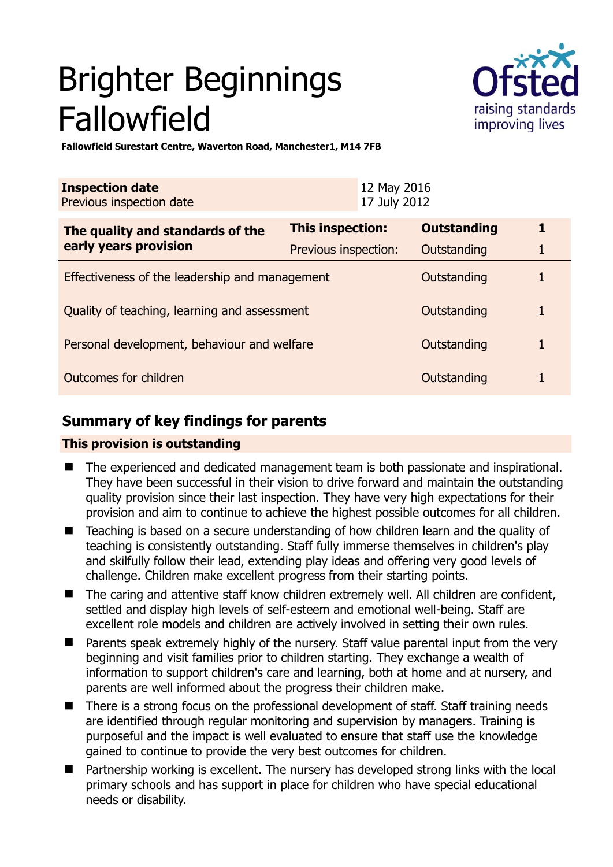# Brighter Beginnings Fallowfield



**Fallowfield Surestart Centre, Waverton Road, Manchester1, M14 7FB** 

| <b>Inspection date</b><br>Previous inspection date        |                      | 12 May 2016<br>17 July 2012 |                    |   |
|-----------------------------------------------------------|----------------------|-----------------------------|--------------------|---|
| The quality and standards of the<br>early years provision | This inspection:     |                             | <b>Outstanding</b> | 1 |
|                                                           | Previous inspection: |                             | Outstanding        | 1 |
| Effectiveness of the leadership and management            |                      |                             | Outstanding        |   |
| Quality of teaching, learning and assessment              |                      |                             | Outstanding        | 1 |
| Personal development, behaviour and welfare               |                      |                             | Outstanding        |   |
| Outcomes for children                                     |                      |                             | Outstanding        |   |

# **Summary of key findings for parents**

## **This provision is outstanding**

- The experienced and dedicated management team is both passionate and inspirational. They have been successful in their vision to drive forward and maintain the outstanding quality provision since their last inspection. They have very high expectations for their provision and aim to continue to achieve the highest possible outcomes for all children.
- Teaching is based on a secure understanding of how children learn and the quality of teaching is consistently outstanding. Staff fully immerse themselves in children's play and skilfully follow their lead, extending play ideas and offering very good levels of challenge. Children make excellent progress from their starting points.
- The caring and attentive staff know children extremely well. All children are confident, settled and display high levels of self-esteem and emotional well-being. Staff are excellent role models and children are actively involved in setting their own rules.
- Parents speak extremely highly of the nursery. Staff value parental input from the very beginning and visit families prior to children starting. They exchange a wealth of information to support children's care and learning, both at home and at nursery, and parents are well informed about the progress their children make.
- There is a strong focus on the professional development of staff. Staff training needs are identified through regular monitoring and supervision by managers. Training is purposeful and the impact is well evaluated to ensure that staff use the knowledge gained to continue to provide the very best outcomes for children.
- **Partnership working is excellent. The nursery has developed strong links with the local** primary schools and has support in place for children who have special educational needs or disability.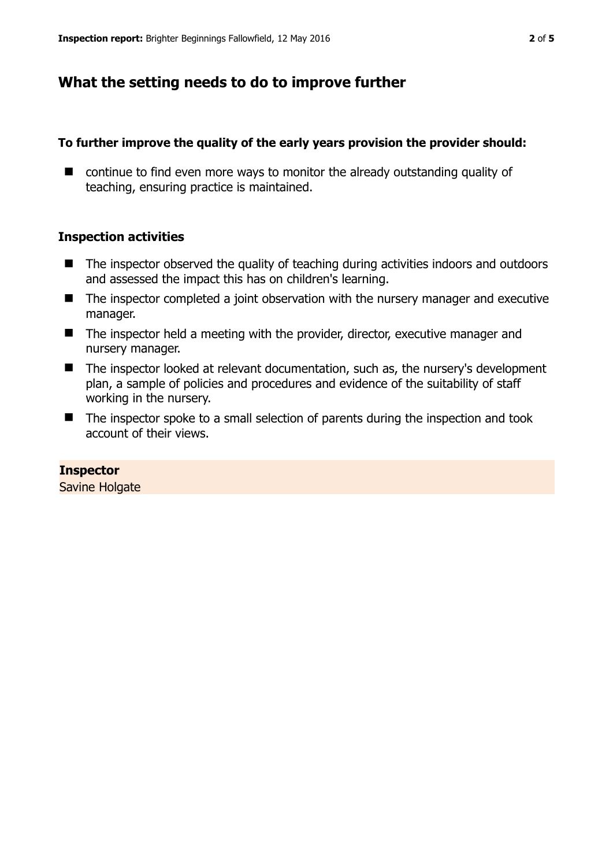## **What the setting needs to do to improve further**

#### **To further improve the quality of the early years provision the provider should:**

■ continue to find even more ways to monitor the already outstanding quality of teaching, ensuring practice is maintained.

#### **Inspection activities**

- The inspector observed the quality of teaching during activities indoors and outdoors and assessed the impact this has on children's learning.
- The inspector completed a joint observation with the nursery manager and executive manager.
- The inspector held a meeting with the provider, director, executive manager and nursery manager.
- The inspector looked at relevant documentation, such as, the nursery's development plan, a sample of policies and procedures and evidence of the suitability of staff working in the nursery.
- The inspector spoke to a small selection of parents during the inspection and took account of their views.

## **Inspector**

Savine Holgate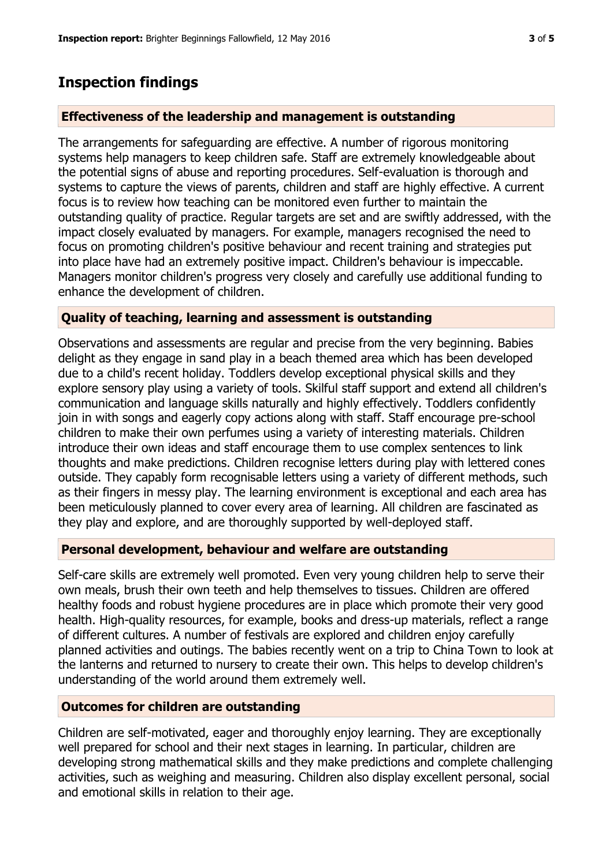## **Inspection findings**

## **Effectiveness of the leadership and management is outstanding**

The arrangements for safeguarding are effective. A number of rigorous monitoring systems help managers to keep children safe. Staff are extremely knowledgeable about the potential signs of abuse and reporting procedures. Self-evaluation is thorough and systems to capture the views of parents, children and staff are highly effective. A current focus is to review how teaching can be monitored even further to maintain the outstanding quality of practice. Regular targets are set and are swiftly addressed, with the impact closely evaluated by managers. For example, managers recognised the need to focus on promoting children's positive behaviour and recent training and strategies put into place have had an extremely positive impact. Children's behaviour is impeccable. Managers monitor children's progress very closely and carefully use additional funding to enhance the development of children.

#### **Quality of teaching, learning and assessment is outstanding**

Observations and assessments are regular and precise from the very beginning. Babies delight as they engage in sand play in a beach themed area which has been developed due to a child's recent holiday. Toddlers develop exceptional physical skills and they explore sensory play using a variety of tools. Skilful staff support and extend all children's communication and language skills naturally and highly effectively. Toddlers confidently join in with songs and eagerly copy actions along with staff. Staff encourage pre-school children to make their own perfumes using a variety of interesting materials. Children introduce their own ideas and staff encourage them to use complex sentences to link thoughts and make predictions. Children recognise letters during play with lettered cones outside. They capably form recognisable letters using a variety of different methods, such as their fingers in messy play. The learning environment is exceptional and each area has been meticulously planned to cover every area of learning. All children are fascinated as they play and explore, and are thoroughly supported by well-deployed staff.

## **Personal development, behaviour and welfare are outstanding**

Self-care skills are extremely well promoted. Even very young children help to serve their own meals, brush their own teeth and help themselves to tissues. Children are offered healthy foods and robust hygiene procedures are in place which promote their very good health. High-quality resources, for example, books and dress-up materials, reflect a range of different cultures. A number of festivals are explored and children enjoy carefully planned activities and outings. The babies recently went on a trip to China Town to look at the lanterns and returned to nursery to create their own. This helps to develop children's understanding of the world around them extremely well.

#### **Outcomes for children are outstanding**

Children are self-motivated, eager and thoroughly enjoy learning. They are exceptionally well prepared for school and their next stages in learning. In particular, children are developing strong mathematical skills and they make predictions and complete challenging activities, such as weighing and measuring. Children also display excellent personal, social and emotional skills in relation to their age.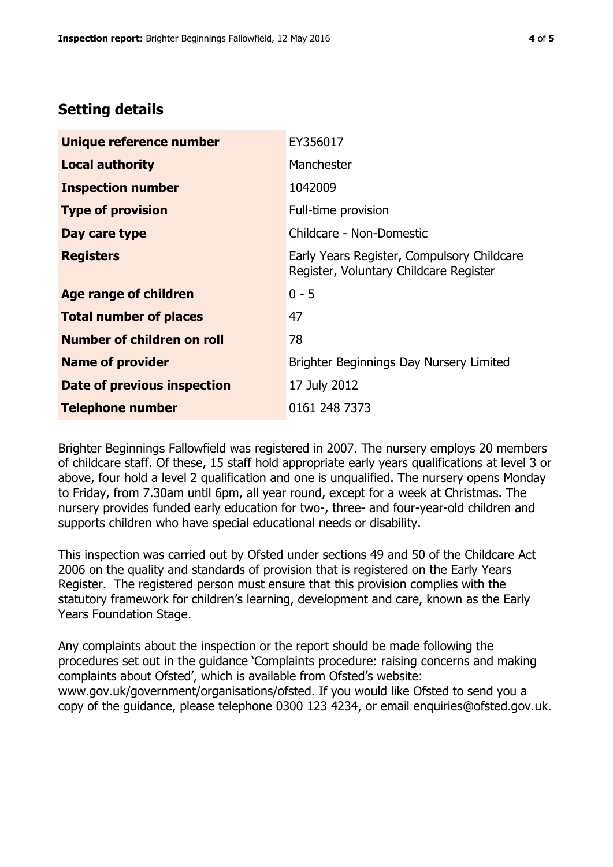## **Setting details**

| Unique reference number       | EY356017                                                                             |  |
|-------------------------------|--------------------------------------------------------------------------------------|--|
| <b>Local authority</b>        | Manchester                                                                           |  |
| <b>Inspection number</b>      | 1042009                                                                              |  |
| <b>Type of provision</b>      | Full-time provision                                                                  |  |
| Day care type                 | Childcare - Non-Domestic                                                             |  |
| <b>Registers</b>              | Early Years Register, Compulsory Childcare<br>Register, Voluntary Childcare Register |  |
| <b>Age range of children</b>  | $0 - 5$                                                                              |  |
| <b>Total number of places</b> | 47                                                                                   |  |
| Number of children on roll    | 78                                                                                   |  |
| <b>Name of provider</b>       | Brighter Beginnings Day Nursery Limited                                              |  |
| Date of previous inspection   | 17 July 2012                                                                         |  |
| <b>Telephone number</b>       | 0161 248 7373                                                                        |  |

Brighter Beginnings Fallowfield was registered in 2007. The nursery employs 20 members of childcare staff. Of these, 15 staff hold appropriate early years qualifications at level 3 or above, four hold a level 2 qualification and one is unqualified. The nursery opens Monday to Friday, from 7.30am until 6pm, all year round, except for a week at Christmas. The nursery provides funded early education for two-, three- and four-year-old children and supports children who have special educational needs or disability.

This inspection was carried out by Ofsted under sections 49 and 50 of the Childcare Act 2006 on the quality and standards of provision that is registered on the Early Years Register. The registered person must ensure that this provision complies with the statutory framework for children's learning, development and care, known as the Early Years Foundation Stage.

Any complaints about the inspection or the report should be made following the procedures set out in the guidance 'Complaints procedure: raising concerns and making complaints about Ofsted', which is available from Ofsted's website: www.gov.uk/government/organisations/ofsted. If you would like Ofsted to send you a copy of the guidance, please telephone 0300 123 4234, or email enquiries@ofsted.gov.uk.